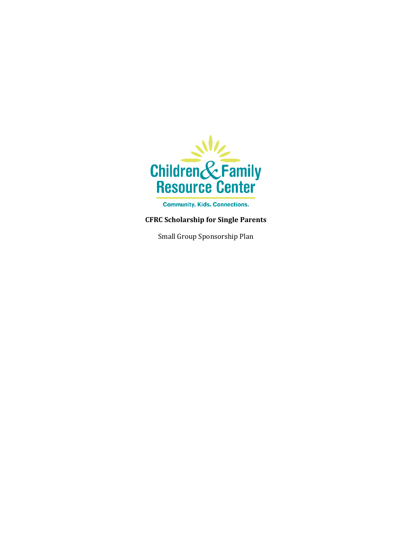

**Community. Kids. Connections.** 

## **CFRC Scholarship for Single Parents**

Small Group Sponsorship Plan